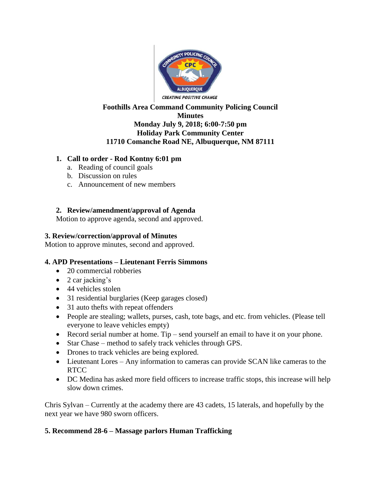

#### **Foothills Area Command Community Policing Council Minutes Monday July 9, 2018; 6:00-7:50 pm Holiday Park Community Center 11710 Comanche Road NE, Albuquerque, NM 87111**

### **1. Call to order - Rod Kontny 6:01 pm**

- a. Reading of council goals
- b. Discussion on rules
- c. Announcement of new members

# **2. Review/amendment/approval of Agenda**

Motion to approve agenda, second and approved.

### **3. Review/correction/approval of Minutes**

Motion to approve minutes, second and approved.

# **4. APD Presentations – Lieutenant Ferris Simmons**

- 20 commercial robberies
- $\bullet$  2 car jacking's
- 44 vehicles stolen
- 31 residential burglaries (Keep garages closed)
- 31 auto thefts with repeat offenders
- People are stealing; wallets, purses, cash, tote bags, and etc. from vehicles. (Please tell everyone to leave vehicles empty)
- Record serial number at home. Tip send yourself an email to have it on your phone.
- Star Chase method to safely track vehicles through GPS.
- Drones to track vehicles are being explored.
- Lieutenant Lores Any information to cameras can provide SCAN like cameras to the **RTCC**
- DC Medina has asked more field officers to increase traffic stops, this increase will help slow down crimes.

Chris Sylvan – Currently at the academy there are 43 cadets, 15 laterals, and hopefully by the next year we have 980 sworn officers.

#### **5. Recommend 28-6 – Massage parlors Human Trafficking**